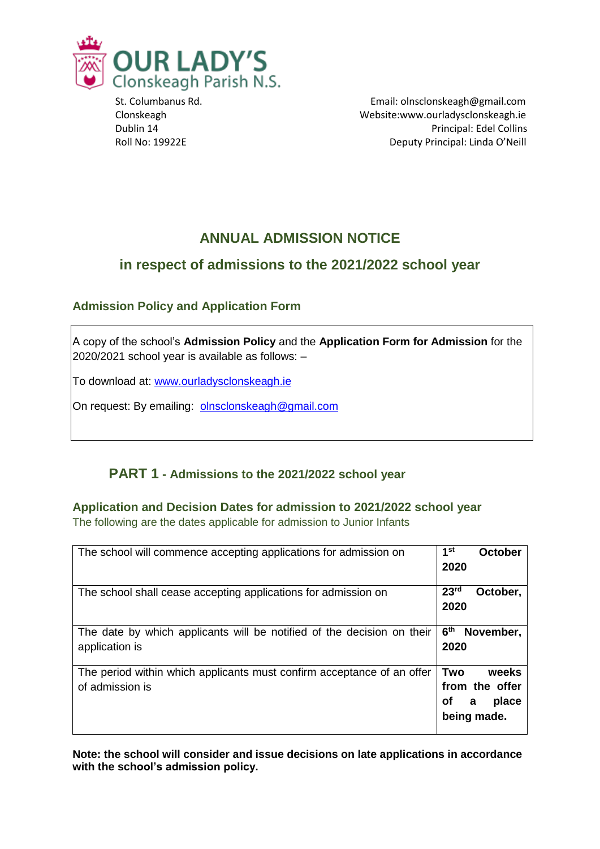

 St. Columbanus Rd. Email: olnsclonskeagh@gmail.com Clonskeagh Website:www.ourladysclonskeagh.ie Dublin 14 Principal: Edel Collins Roll No: 19922E **Deputy Principal: Linda O'Neill** 

# **ANNUAL ADMISSION NOTICE**

## **in respect of admissions to the 2021/2022 school year**

### **Admission Policy and Application Form**

A copy of the school's **Admission Policy** and the **Application Form for Admission** for the 2020/2021 school year is available as follows: –

To download at: www.ourladysclonskeagh.ie

On request: By emailing: [olnsclonskeagh@gmail.com](mailto:olnsclonskeagh@gmail.com)

### **PART 1 - Admissions to the 2021/2022 school year**

**Application and Decision Dates for admission to 2021/2022 school year** The following are the dates applicable for admission to Junior Infants

| The school will commence accepting applications for admission on                          | 1 <sup>st</sup><br>October<br>2020                                |
|-------------------------------------------------------------------------------------------|-------------------------------------------------------------------|
| The school shall cease accepting applications for admission on                            | 23 <sup>rd</sup><br>October,<br>2020                              |
| The date by which applicants will be notified of the decision on their<br>application is  | 6 <sup>th</sup><br>November,<br>2020                              |
| The period within which applicants must confirm acceptance of an offer<br>of admission is | Two<br>weeks<br>from the offer<br>place<br>οf<br>a<br>being made. |

**Note: the school will consider and issue decisions on late applications in accordance with the school's admission policy.**